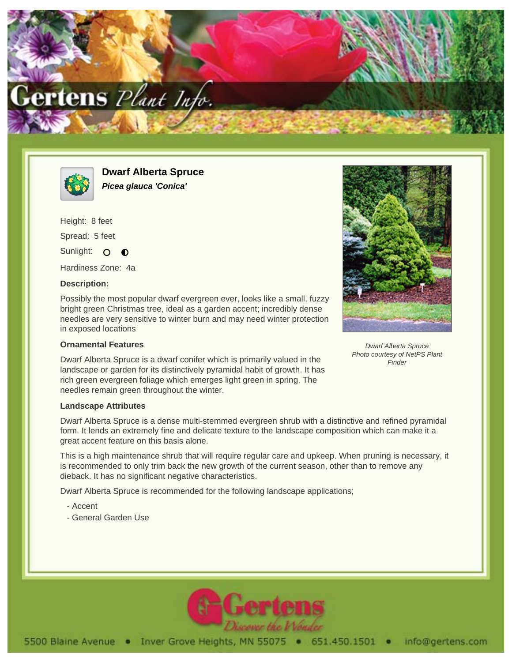



**Dwarf Alberta Spruce Picea glauca 'Conica'**

Height: 8 feet Spread: 5 feet Sunlight: O

Hardiness Zone: 4a

 $\bullet$ 

## **Description:**

Possibly the most popular dwarf evergreen ever, looks like a small, fuzzy bright green Christmas tree, ideal as a garden accent; incredibly dense needles are very sensitive to winter burn and may need winter protection in exposed locations

## **Ornamental Features**

Dwarf Alberta Spruce is a dwarf conifer which is primarily valued in the landscape or garden for its distinctively pyramidal habit of growth. It has rich green evergreen foliage which emerges light green in spring. The needles remain green throughout the winter.

## **Landscape Attributes**

Dwarf Alberta Spruce is a dense multi-stemmed evergreen shrub with a distinctive and refined pyramidal form. It lends an extremely fine and delicate texture to the landscape composition which can make it a great accent feature on this basis alone.

This is a high maintenance shrub that will require regular care and upkeep. When pruning is necessary, it is recommended to only trim back the new growth of the current season, other than to remove any dieback. It has no significant negative characteristics.

Dwarf Alberta Spruce is recommended for the following landscape applications;

- Accent
- General Garden Use



Dwarf Alberta Spruce Photo courtesy of NetPS Plant **Finder**